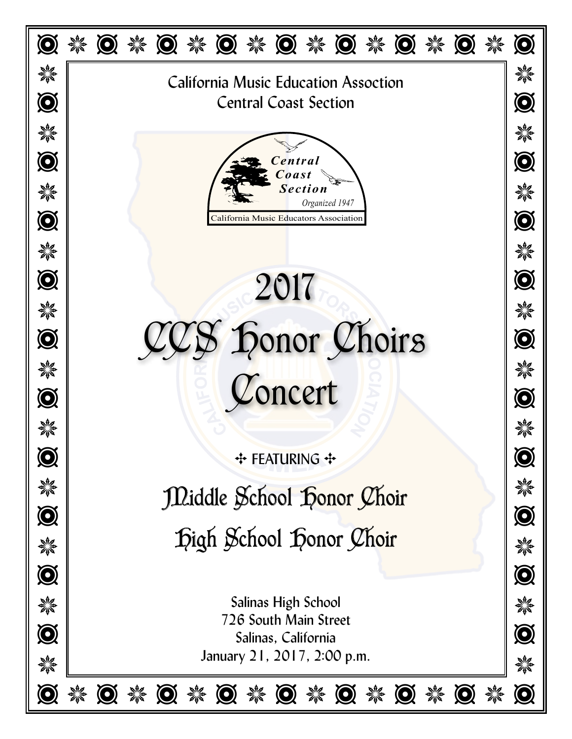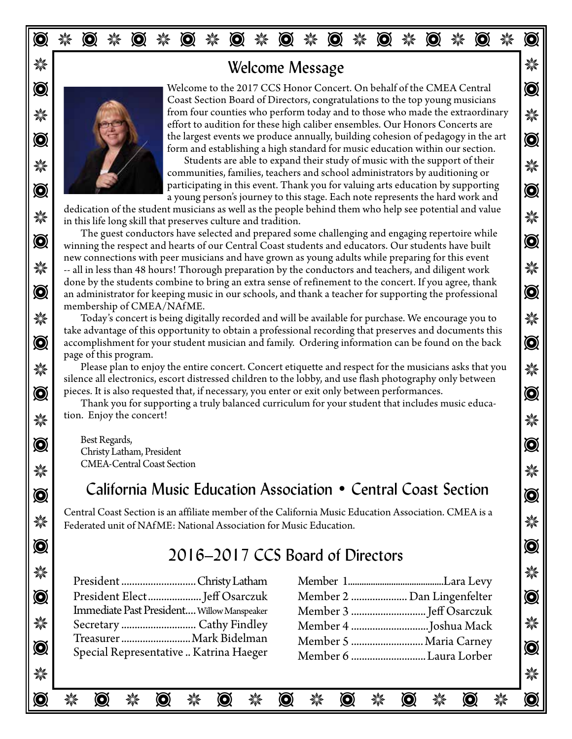## **※ | ファイル diagnosism diagnosism diagnosism diagnosism diagnosism diagnosism diagnosism diagnosism diagnosism** di



 $\bullet$  Welcome to the 2017 CCS Honor Concert. On behalf of the CMEA Central  $\frac{1}{2}$  from four counties who perform today and to those who made the extraordinary  $\bullet$  the largest events we produce annually, building cohesion of pedagogy in the art  $\bullet$ Coast Section Board of Directors, congratulations to the top young musicians effort to audition for these high caliber ensembles. Our Honors Concerts are form and establishing a high standard for music education within our section.

 $\frac{1}{2}$  Julian Students are able to expand their study or music with the support of their communities, families, teachers and school administrators by auditioning or  $\frac{1}{2}$ participating in this event. I hank you for valuing arts education by supporting<br>a young person's journey to this stage. Each note represents the hard work and Students are able to expand their study of music with the support of their participating in this event. Thank you for valuing arts education by supporting

 $\mathcal{H}$  in this life long skill that preserves culture and tradition. dedication of the student musicians as well as the people behind them who help see potential and value

 $\bullet$  winning the respect and hearts of our Central Coast students and educators. Our students have built  $\bullet$ →  $\frac{1}{2}$  -- all in less than 48 hours! Thorough preparation by the conductors and teachers, and diligent work  $\frac{1}{2}$  $\bullet$  an administrator for keeping music in our schools, and thank a teacher for supporting the professional  $\bullet$ The guest conductors have selected and prepared some challenging and engaging repertoire while new connections with peer musicians and have grown as young adults while preparing for this event done by the students combine to bring an extra sense of refinement to the concert. If you agree, thank membership of CMEA/NAfME.

 $\bf$   $\bf$   $\bf$   $\bf$   $\bf$  Today's concert is being digitally recorded and will be available for purchase. We encourage you to  $\bf$   $\bf$  $\odot$  accomplishment for your student musician and family. Ordering information can be found on the back  $\odot$ take advantage of this opportunity to obtain a professional recording that preserves and documents this page of this program.

 $\frac{1}{2}$  Please plan to enjoy the entire concert. Concert etiquette and respect for the musicians asks that you  $\bigcirc$   $\bigcirc$  pieces. It is also requested that, if necessary, you enter or exit only between performances. silence all electronics, escort distressed children to the lobby, and use flash photography only between

 $\frac{1}{2}$  tion. Enjoy the concert! Thank you for supporting a truly balanced curriculum for your student that includes music education. Enjoy the concert!

 $\bullet$  Fest Regards, Best Regards, Christy Latham, President CMEA-Central Coast Section

# $\odot$  California Music Education Association • Central Coast Section  $\odot$

Federated unit of NAfME: National Association for Music Education. Central Coast Section is an affiliate member of the California Music Education Association. CMEA is a

#### $\odot$ 2016–2017 CCS Board of Directors

 $\frac{1}{2}$   $\frac{1}{2}$   $\frac{1}{2}$   $\frac{1}{2}$   $\frac{1}{2}$   $\frac{1}{2}$   $\frac{1}{2}$   $\frac{1}{2}$   $\frac{1}{2}$   $\frac{1}{2}$   $\frac{1}{2}$   $\frac{1}{2}$   $\frac{1}{2}$   $\frac{1}{2}$   $\frac{1}{2}$   $\frac{1}{2}$   $\frac{1}{2}$   $\frac{1}{2}$   $\frac{1}{2}$   $\frac{1}{2}$   $\frac{1}{2}$   $\frac{1}{2}$ 

T J T J T J T J T J T J T J T J T

| s tra           | President Christy Latham                   |                            | . sila         |
|-----------------|--------------------------------------------|----------------------------|----------------|
| $\widetilde{Q}$ |                                            | Member 2  Dan Lingenfelter | $\circledcirc$ |
|                 | Immediate Past President Willow Manspeaker |                            |                |
| ☀               |                                            |                            | 纂              |
| $\mathbf{Q}$    | Treasurer  Mark Bidelman                   |                            |                |
|                 | Special Representative  Katrina Haeger     | Member 6 Laura Lorber      | $\odot$        |

| 粼            |                                            |                            | 纂       |
|--------------|--------------------------------------------|----------------------------|---------|
|              | President Christy Latham                   |                            |         |
| $\mathbf{Q}$ | President Elect Jeff Osarczuk              | Member 2  Dan Lingenfelter | $\odot$ |
|              | Immediate Past President Willow Manspeaker |                            |         |
| 纂            |                                            |                            | 纂       |
| $\mathbf{Q}$ | Treasurer  Mark Bidelman                   | Member 5  Maria Carney     |         |
|              | Special Representative  Katrina Haeger     | Member 6 Laura Lorber      | $\odot$ |
|              |                                            |                            |         |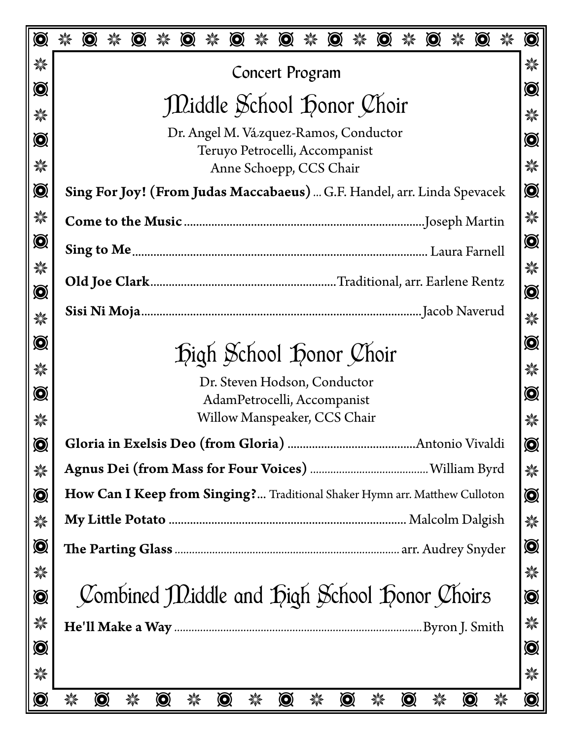| $\bigcirc$        |                              | $\bigcirc$ |                | $\odot$ |                | $\odot$ | $\odot$           |   | $\odot$         | 纂 | $\odot$                                                                    | 纂              | $\odot$ | 纂              | $\odot$ | $\odot$        |   | $\bigcirc$        |
|-------------------|------------------------------|------------|----------------|---------|----------------|---------|-------------------|---|-----------------|---|----------------------------------------------------------------------------|----------------|---------|----------------|---------|----------------|---|-------------------|
| 檾                 |                              |            |                |         |                |         |                   |   | Concert Program |   |                                                                            |                |         |                |         |                |   | 纂                 |
| $\bigcircledS$    |                              |            |                |         |                |         |                   |   |                 |   |                                                                            |                |         |                |         |                |   | $\bigcircledS$    |
| 饕                 |                              |            |                |         |                |         |                   |   |                 |   | Diddle School Donor Choir                                                  |                |         |                |         |                |   | 縈                 |
| $\bigcircledS$    |                              |            |                |         |                |         |                   |   |                 |   | Dr. Angel M. Vázquez-Ramos, Conductor<br>Teruyo Petrocelli, Accompanist    |                |         |                |         |                |   | $\bigcircledS$    |
| ☀                 |                              |            |                |         |                |         |                   |   |                 |   | Anne Schoepp, CCS Chair                                                    |                |         |                |         |                |   | 縈                 |
| $\bigcircledcirc$ |                              |            |                |         |                |         |                   |   |                 |   | Sing For Joy! (From Judas Maccabaeus)  G.F. Handel, arr. Linda Spevacek    |                |         |                |         |                |   | $\bigcircledS$    |
| ☀                 |                              |            |                |         |                |         |                   |   |                 |   |                                                                            |                |         |                |         |                |   | 粼                 |
| $\bigcircledcirc$ |                              |            |                |         |                |         |                   |   |                 |   |                                                                            |                |         |                |         |                |   | $\bigcircledS$    |
| ☀                 |                              |            |                |         |                |         |                   |   |                 |   |                                                                            |                |         |                |         |                |   | 縈                 |
| $\bigcircledcirc$ |                              |            |                |         |                |         |                   |   |                 |   |                                                                            |                |         |                |         |                |   | $\bigcircledS$    |
| ☀                 |                              |            |                |         |                |         |                   |   |                 |   |                                                                            |                |         |                |         |                |   | 縈                 |
| $\bigcirc$        | Digh School Donor Choir      |            |                |         |                |         | $\bigcircledS$    |   |                 |   |                                                                            |                |         |                |         |                |   |                   |
| 纂                 | Dr. Steven Hodson, Conductor |            |                |         |                |         | 縈                 |   |                 |   |                                                                            |                |         |                |         |                |   |                   |
| $\bigcircledcirc$ | AdamPetrocelli, Accompanist  |            |                |         |                |         | $\bigcircledcirc$ |   |                 |   |                                                                            |                |         |                |         |                |   |                   |
| ☀                 | Willow Manspeaker, CCS Chair |            |                |         |                |         | 纂                 |   |                 |   |                                                                            |                |         |                |         |                |   |                   |
| $\bigcircledcirc$ |                              |            |                |         |                |         |                   |   |                 |   |                                                                            |                |         |                |         |                |   | $\bigcircledcirc$ |
| 纂                 |                              |            |                |         |                |         |                   |   |                 |   |                                                                            |                |         |                |         |                |   | 纂                 |
| $\bigcircledcirc$ |                              |            |                |         |                |         |                   |   |                 |   | How Can I Keep from Singing? Traditional Shaker Hymn arr. Matthew Culloton |                |         |                |         |                |   | $\bigcircledR$    |
| ☀                 |                              |            |                |         |                |         |                   |   |                 |   |                                                                            |                |         |                |         |                |   | 縈                 |
| $\odot$           |                              |            |                |         |                |         |                   |   |                 |   |                                                                            |                |         |                |         |                |   | $\bigcircledcirc$ |
| ☀                 |                              |            |                |         |                |         |                   |   |                 |   |                                                                            |                |         |                |         |                |   | 縈                 |
| $\bigcirc$        |                              |            |                |         |                |         |                   |   |                 |   | Combined Middle and Digh School Donor Choirs                               |                |         |                |         |                |   | $\bigcircledS$    |
| 纂                 |                              |            |                |         |                |         |                   |   |                 |   |                                                                            |                |         |                |         |                |   | 纂                 |
| $\bigcircledcirc$ |                              |            |                |         |                |         |                   |   |                 |   |                                                                            |                |         |                |         |                |   | $\bigcirc$        |
| ☀                 |                              |            |                |         |                |         |                   |   |                 |   |                                                                            |                |         |                |         |                |   | 檾                 |
| $\bigcircledcirc$ | 饕                            |            | $\bigcircledS$ | 纂       | $\bigcircledR$ | 纂       | $\bigcircledcirc$ | 檾 | $\bigcircledS$  | 纂 |                                                                            | $\bigcircledS$ | 纂       | $\bigcircledS$ | 檾       | $\bigcircledS$ | 纂 | $\bigcircledcirc$ |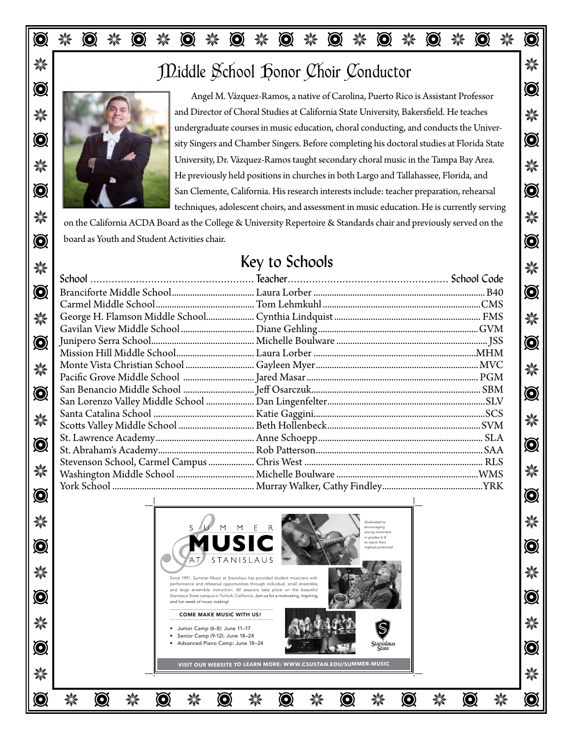# $\mathbb{R}$  J  $\mathbb{Z}$ iddle School Lonor Choir Conductor



Angel M. Vázquez-Ramos, a native of Carolina, Puerto Rico is Assistant Professor J J and Director of Choral Studies at California State University, Bakersfield. He teaches **O**  $\Box$  The completion of  $\Box$  sity Singers and Chamber Singers. Before completing his doctoral studies at Florida State University, Dr. Vázquez-Ramos taught secondary choral music in the Tampa Bay Area. **O**  $\blacksquare$  San Clemente, California. His research interests include: teacher preparation, rehearsal  $\blacksquare$ undergraduate courses in music education, choral conducting, and conducts the Univer-He previously held positions in churches in both Largo and Tallahassee, Florida, and techniques, adolescent choirs, and assessment in music education. He is currently serving

 $\mathbb{R}$  on the California ACDA Board as the College & University Repertoire & Standards chair and previously served on the  $\bullet$  board as Youth and Student Activities chair.

## Key to Schools

|                          | <b>NEV LO SCHOOIS</b> |  |            |  |  |  |  |
|--------------------------|-----------------------|--|------------|--|--|--|--|
|                          |                       |  | 纂          |  |  |  |  |
| $\widehat{\mathbf{Q}}$   |                       |  | $\bigcirc$ |  |  |  |  |
|                          |                       |  |            |  |  |  |  |
| ☀                        |                       |  | 楽          |  |  |  |  |
|                          |                       |  |            |  |  |  |  |
| $\mathbf{\widehat{Q}}$   |                       |  | $\bigcirc$ |  |  |  |  |
|                          |                       |  |            |  |  |  |  |
| ☀                        |                       |  | ☀          |  |  |  |  |
|                          |                       |  |            |  |  |  |  |
| $\textcircled{\small{}}$ |                       |  | $\bigcirc$ |  |  |  |  |
|                          |                       |  |            |  |  |  |  |
|                          |                       |  | ☀          |  |  |  |  |
| 楽                        |                       |  |            |  |  |  |  |
|                          |                       |  |            |  |  |  |  |
| $\textcircled{\small{}}$ |                       |  | $\bigcirc$ |  |  |  |  |
|                          |                       |  |            |  |  |  |  |
| ☀                        |                       |  | ☀          |  |  |  |  |
| Ã                        |                       |  | m          |  |  |  |  |
|                          |                       |  |            |  |  |  |  |

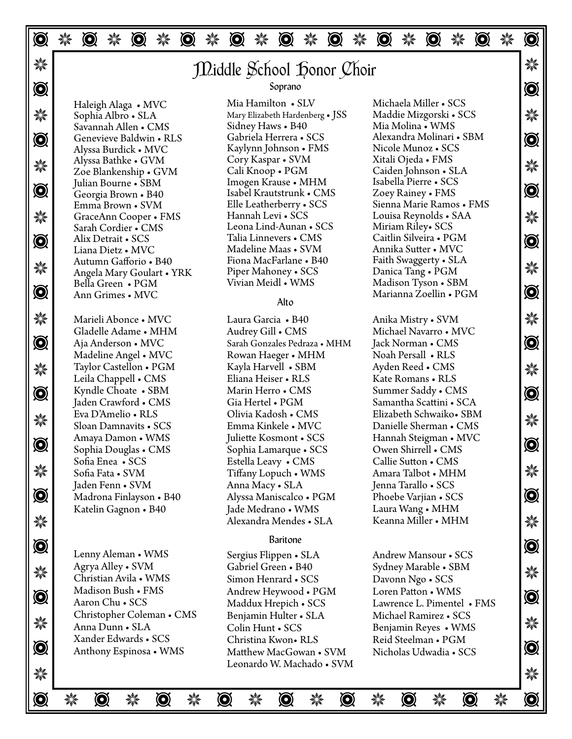T J T J T J T J T J T J T J T J T J T J T  $\mathbb{R}$  J Middle School Honor Choir  $\odot$ **\*** Sophia Albro • SLA Mary Elizabeth Hardenberg • JSS Maddie Mizgorski • SCS  $\frac{1}{2}$ T T Alexandra Molinari • SBM क्षी Alyssa Bathke • GVM Coly Raspar • SVM Altan Ojeda • FMS<br>Zoe Blankenship • GVM Cali Knoop • PGM Caiden Johnson • SLA ﴾ T T Isabel Krautstrunk • CMS **\*\*** GraceAnn Cooper • FMS Hannah Levi • SCS Louisa Reynolds • SAA  $\ddot{\text{#}}$ T T  $\mathcal{W}$  Angela Mary Goulart • YRK Piper Mahoney • SCS Danica Tang • PGM  $\bullet$  Ann Grimes • MVC  $\bullet$  Marianna Zoellin • PGM  $\bullet$  Marianna  $\bullet$  PGM  $\bullet$ J J Marieli Abonce • MVC  $\bullet$  Aja Anderson • MVC Sarah Gonzales Pedraza • MHM Jack Norman • CMS  $\bullet$ J J Taylor Castellon • PGM  $\bigotimes$  Kyndle Choate • SBM Marin Herro • CMS Summer Saddy • CMS  $\bigotimes$ Soan Damnavits • SCS Emma Kinkele • MVC Danielle Sherman • CMS Solon Damnavits • SCS Emma Kinkele • MVC Danielle Sherman • CMS T T Owen Shirrell • CMS  $\frac{1}{2}$  Sofia Fata • SVM Sofia Fata • SVM Tiffany Lopuch • WMS Amara Talbot • MHM  $\frac{1}{2}$  $\bullet$  Madrona Finlayson • B40 Alyssa Maniscalco • PGM Phoebe Varjian • SCS  $\bullet$  **Alexandra Mendes • SLA** Keanna Miller • MHM **O**  $\mathcal{W}$  The Station Avila **MMS** Christian Avila **MMS** Contract Computer SCS Contract Contract Contract Contract Contract Contract Contract Contract Contract Contract Contract Contract Contract Contract Contract Contract  $\odot$   $\Box$  Magnon Dusn • FMS Andrew Heywood • PGM Loren Patton • WMS Agroup Chu • SCS Maddux Hepich • SCS I awrence I Dimentel • EMS  $\mathcal{H}$  Anna Dunn • SLA Colin Hunt • SCS Benjamin Reyes • WMS  $\mathcal{H}$ Matthew MacGowan • SVM Nicholas Udwadia • SCS  $\frac{1}{2}$   $\frac{1}{2}$   $\frac{1}{2}$   $\frac{1}{2}$   $\frac{1}{2}$   $\frac{1}{2}$   $\frac{1}{2}$   $\frac{1}{2}$   $\frac{1}{2}$   $\frac{1}{2}$   $\frac{1}{2}$   $\frac{1}{2}$   $\frac{1}{2}$   $\frac{1}{2}$   $\frac{1}{2}$   $\frac{1}{2}$   $\frac{1}{2}$   $\frac{1}{2}$   $\frac{1}{2}$   $\frac{1}{2}$   $\frac{1}{2}$   $\frac{1}{2}$  Haleigh Alaga • MVC Sophia Albro • SLA Savannah Allen • CMS Genevieve Baldwin • RLS Alyssa Burdick • MVC Alyssa Bathke • GVM Zoe Blankenship • GVM Julian Bourne • SBM Georgia Brown • B40 Emma Brown • SVM Sarah Cordier • CMS Alix Detrait • SCS Liana Dietz • MVC Autumn Gafforio • B40 Bella Green • PGM Ann Grimes • MVC Gladelle Adame • MHM Aja Anderson • MVC Madeline Angel • MVC Leila Chappell • CMS Kyndle Choate • SBM Jaden Crawford • CMS Eva D'Amelio • RLS Sloan Damnavits • SCS Amaya Damon • WMS Sophia Douglas • CMS Sofia Enea • SCS Sofia Fata • SVM Jaden Fenn • SVM Madrona Finlayson • B40 Katelin Gagnon • B40 Lenny Aleman • WMS Agrya Alley • SVM Christian Avila • WMS Madison Bush • FMS Aaron Chu • SCS Christopher Coleman • CMS Anna Dunn • SLA Xander Edwards • SCS Mia Hamilton • SLV Mary Elizabeth Hardenberg • JSS Sidney Haws • B40 Gabriela Herrera • SCS Kaylynn Johnson • FMS Cory Kaspar • SVM Cali Knoop • PGM Imogen Krause • MHM Elle Leatherberry • SCS Hannah Levi • SCS Leona Lind-Aunan • SCS Talia Linnevers • CMS Madeline Maas • SVM Fiona MacFarlane • B40 Piper Mahoney • SCS Vivian Meidl • WMS Laura Garcia • B40 Audrey Gill • CMS Rowan Haeger • MHM Kayla Harvell • SBM Eliana Heiser • RLS Marin Herro • CMS Gia Hertel • PGM Olivia Kadosh • CMS Emma Kinkele • MVC Juliette Kosmont • SCS Sophia Lamarque • SCS Estella Leavy • CMS Anna Macy • SLA Jade Medrano • WMS Sergius Flippen • SLA Gabriel Green • B40 Simon Henrard • SCS Andrew Heywood • PGM Maddux Hrepich • SCS Benjamin Hulter • SLA Colin Hunt • SCS Christina Kwon• RLS Matthew MacGowan • SVM Leonardo W. Machado • SVM Michaela Miller • SCS Mia Molina • WMS Nicole Munoz • SCS Xitali Ojeda • FMS Isabella Pierre • SCS Zoey Rainey • FMS Sienna Marie Ramos • FMS Louisa Reynolds • SAA Miriam Riley• SCS Caitlin Silveira • PGM Annika Sutter • MVC Faith Swaggerty • SLA Danica Tang • PGM Madison Tyson • SBM Anika Mistry • SVM Michael Navarro • MVC Jack Norman • CMS Noah Persall • RLS Ayden Reed • CMS Kate Romans • RLS Summer Saddy • CMS Samantha Scattini • SCA Elizabeth Schwaiko• SBM Hannah Steigman • MVC Callie Sutton • CMS Amara Talbot • MHM Jenna Tarallo • SCS Phoebe Varjian • SCS Laura Wang • MHM Keanna Miller • MHM Andrew Mansour • SCS Sydney Marable • SBM Davonn Ngo • SCS Loren Patton • WMS Lawrence L. Pimentel • FMS Michael Ramirez • SCS Reid Steelman • PGM Nicholas Udwadia • SCS Soprano Alto Baritone

T J T J T J T J T J T J T J T J T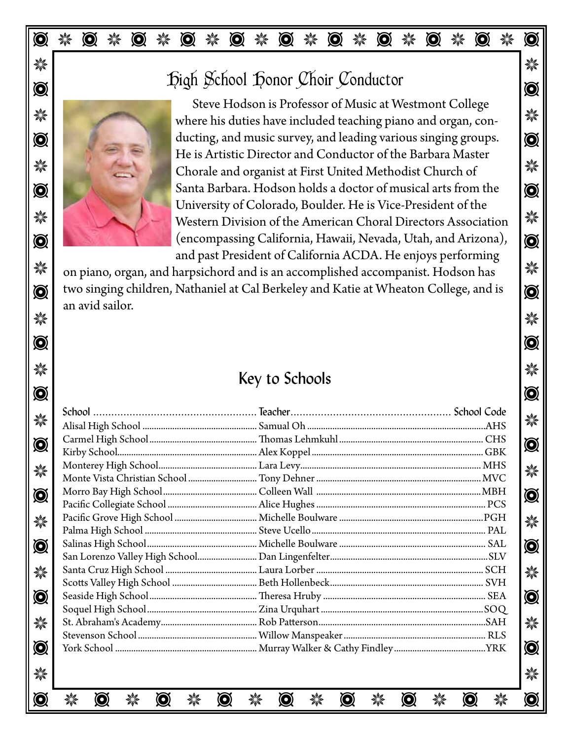### T J T J T J T J T J T J T J T J T J T J T

#### **\*\*** T T High School Honor Choir Conductor



WE JUNE 2008 Where his duties have included teaching piano and organ, con- $\bullet$  ducting, and music survey, and leading various singing groups. X Chorale and organist at First United Methodist Church of  $\mathbb{X}$  $\bigcirc$   $\bigcirc$ Western Division of the American Choral Directors Association  $\textcircled{S}$   $\blacksquare$  (encompassing California, Hawaii, Nevada, Utah, and Arizona),  $\lozen{S}$ Steve Hodson is Professor of Music at Westmont College He is Artistic Director and Conductor of the Barbara Master University of Colorado, Boulder. He is Vice-President of the and past President of California ACDA. He enjoys performing

 $\rm{N}$  on piano, organ, and harpsichord and is an accomplished accompanist. Hodson has  $\rm{N}$  $\odot$   $\mid$  two singing children, Nathaniel at Cal Berkeley and Katie at Wheaton College, and is  $\mid$   $\odot$  $\frac{1}{2}$   $\frac{1}{2}$   $\frac{1}{2}$   $\frac{1}{2}$   $\frac{1}{2}$   $\frac{1}{2}$   $\frac{1}{2}$   $\frac{1}{2}$   $\frac{1}{2}$   $\frac{1}{2}$   $\frac{1}{2}$   $\frac{1}{2}$   $\frac{1}{2}$   $\frac{1}{2}$   $\frac{1}{2}$   $\frac{1}{2}$   $\frac{1}{2}$   $\frac{1}{2}$   $\frac{1}{2}$   $\frac{1}{2}$   $\frac{1}{2}$   $\frac{1}{2}$  an avid sailor.

#### J J Key to Schools

T T

|  |  |  |  |  |  | $\bigcirc$     |
|--|--|--|--|--|--|----------------|
|  |  |  |  |  |  |                |
|  |  |  |  |  |  | 纂              |
|  |  |  |  |  |  | $\bigcircledS$ |
|  |  |  |  |  |  |                |
|  |  |  |  |  |  | 楽              |
|  |  |  |  |  |  |                |
|  |  |  |  |  |  | $\bigcircledS$ |
|  |  |  |  |  |  |                |
|  |  |  |  |  |  | 楽              |
|  |  |  |  |  |  |                |
|  |  |  |  |  |  | $\bigcircledS$ |
|  |  |  |  |  |  |                |
|  |  |  |  |  |  | 粼              |
|  |  |  |  |  |  |                |
|  |  |  |  |  |  | Ø              |
|  |  |  |  |  |  |                |
|  |  |  |  |  |  | 楽              |
|  |  |  |  |  |  |                |
|  |  |  |  |  |  | $\bigcircledS$ |
|  |  |  |  |  |  |                |
|  |  |  |  |  |  | 纂              |
|  |  |  |  |  |  |                |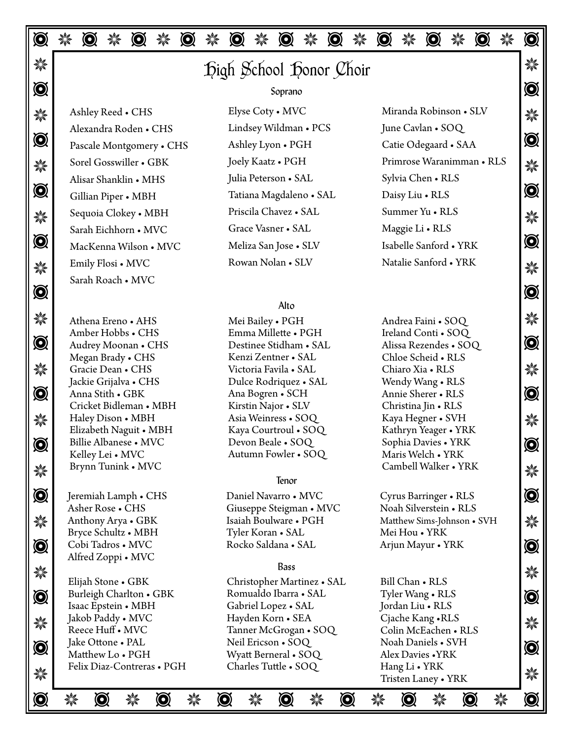T J T J T J T J T J T J T J T J T J T J T  $\mathbb{Z}$   $\mathbb{Z}$   $\mathbb{Z}$   $\mathbb{Z}$   $\mathbb{Z}$   $\mathbb{Z}$   $\mathbb{Z}$   $\mathbb{Z}$   $\mathbb{Z}$   $\mathbb{Z}$   $\mathbb{Z}$   $\mathbb{Z}$   $\mathbb{Z}$   $\mathbb{Z}$   $\mathbb{Z}$   $\mathbb{Z}$   $\mathbb{Z}$   $\mathbb{Z}$   $\mathbb{Z}$   $\mathbb{Z}$   $\mathbb{Z}$   $\mathbb{Z}$   $\mathbb{Z}$   $\mathbb{Z}$   $\mathbb{$  $\odot$ **※ Ashley Reed • CHS Elyse Coty • MVC Miranda Robinson • SLV → ※ Q** Pascale Montgomery • CHS Ashley Lyon • PGH Catie Odegaard • SAA **Q** ماهية | Sorel Gosswiller • GBK | Joely Kaatz • PGH | Primrose Waranimman • RLS | جمعية | Sorel Gosswiller • GBK T T Tatiana Magdaleno • SAL  $\frac{1}{2}$  Sequoia Clokey • MBH Priscila Chavez • SAL Summer Yu • KLS  $\frac{1}{2}$  $\bullet$  MacKenna Wilson • MVC Meliza San Jose • SLV Isabelle Sanford • YRK  $\bullet$  $\frac{1}{2}$  Emily Flosi • MVC **Communist Rowan Notan • SLV** Natalie Santora • TKK  $\frac{1}{2}$ T T ☀ Athena Ereno • AHS Mei Bailey • PGH Andrea Faini • SOQ ☀  $\bullet$  Audrey Moonan • CHS Destinee Stidham • SAL Alissa Rezendes • SOQ  $\bullet$ ※ Gracie Dean • CHS Victoria Favila • SAL Chiaro Xia • RLS S **O** Anna Stith • GBK Ana Bogren • SCH Annie Sherer • RLS **\*\*\*** Haley Dison • MBH Asia Weinress • SOQ Kaya Hegner • SVH  $\frac{1}{2}$ O Billie Albanese • MVC Devon Beale • SOQ Sophia Davies • YRK | O **\*\*\*** Brynn Tunink • MVC The Cambell Walker • YRK **A**\*\*  $\bigcirc$  | Jeremiah Lamph • CHS Daniel Navarro • MVC Cyrus Barringer • RLS |  $\bigcirc$ **Anthony Arya • GBK** Isaiah Boulware • PGH Matthew Sims-Johnson • SVH  $\frac{1}{2}$ O Cobi Tadros • MVC Rocko Saldana • SAL Arjun Mayur • YRK | O **\*\***  $\bigotimes$  Burleigh Charlton • GBK Romualdo Ibarra • SAL Tyler Wang • RLS  $\bigotimes$ \* Jakob Paddy • MVC Hayden Korn • SEA Uache Kang • KLS<br>\* Deoco Huff MVC Tanner McGrogan • SOO Colin McEachan • PI S  $\odot$   $\parallel$  Jake Ottone • PAL Neu Expective SOC Noon Daniels • SV H No. 1998 1998  $\frac{1}{2}$  Tens Diaz-Contens • 1 Grant Charles Tutte •  $\frac{1}{2}$  Transmostration of Tristen Lanev • YRK  $\frac{1}{2}$ T J T J T J T J T J T J T J T J T Athena Ereno • AHS Amber Hobbs • CHS Audrey Moonan • CHS Megan Brady • CHS Jackie Grijalva • CHS Anna Stith • GBK Cricket Bidleman • MBH Haley Dison • MBH Elizabeth Naguit • MBH Kelley Lei • MVC Brynn Tunink • MVC Asher Rose • CHS Anthony Arya • GBK Bryce Schultz • MBH Cobi Tadros • MVC Alfred Zoppi • MVC Elijah Stone • GBK Isaac Epstein • MBH Jakob Paddy • MVC Reece Huff • MVC Jake Ottone • PAL Matthew Lo • PGH Felix Diaz-Contreras • PGH Mei Bailey • PGH Emma Millette • PGH Destinee Stidham • SAL Kenzi Zentner • SAL Victoria Favila • SAL Dulce Rodriquez • SAL Kirstin Najor • SLV Kaya Courtroul • SOQ Devon Beale • SOQ Autumn Fowler • SOQ Daniel Navarro • MVC Giuseppe Steigman • MVC Isaiah Boulware • PGH Tyler Koran • SAL Rocko Saldana • SAL Christopher Martinez • SAL Romualdo Ibarra • SAL Gabriel Lopez • SAL Hayden Korn • SEA Tanner McGrogan • SOQ Neil Ericson • SOQ Wyatt Berneral • SOQ Charles Tuttle • SOQ Soprano Alto Tenor Bass Ashley Reed • CHS Alexandra Roden • CHS Sorel Gosswiller • GBK Alisar Shanklin • MHS Gillian Piper • MBH Sequoia Clokey • MBH Sarah Eichhorn • MVC Emily Flosi • MVC Sarah Roach • MVC Ireland Conti • SOQ Chloe Scheid • RLS Chiaro Xia • RLS Wendy Wang • RLS Annie Sherer • RLS Christina Jin • RLS Kaya Hegner • SVH Kathryn Yeager • YRK Sophia Davies • YRK Maris Welch • YRK Mei Hou • YRK Bill Chan • RLS Tyler Wang • RLS Jordan Liu • RLS Cjache Kang •RLS Noah Daniels • SVH Alex Davies •YRK Hang Li • YRK Tristen Laney • YRK Elyse Coty • MVC Lindsey Wildman • PCS Ashley Lyon • PGH Joely Kaatz • PGH Julia Peterson • SAL Priscila Chavez • SAL Grace Vasner • SAL Meliza San Jose • SLV Rowan Nolan • SLV Miranda Robinson • SLV June Cavlan • SOQ Catie Odegaard • SAA Primrose Waranimman • RLS Sylvia Chen • RLS Daisy Liu • RLS Summer Yu • RLS Maggie Li • RLS Isabelle Sanford • YRK Natalie Sanford • YRK

Cambell Walker • YRK

Cyrus Barringer • RLS Noah Silverstein • RLS

Colin McEachen • RLS